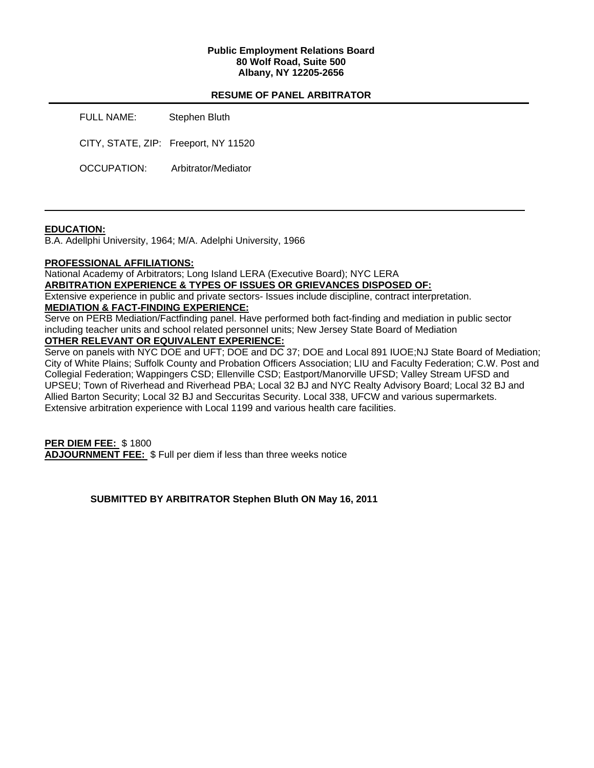### **Public Employment Relations Board 80 Wolf Road, Suite 500 Albany, NY 12205-2656**

# **RESUME OF PANEL ARBITRATOR**

FULL NAME: Stephen Bluth CITY, STATE, ZIP: Freeport, NY 11520 OCCUPATION: Arbitrator/Mediator

# **EDUCATION:**

B.A. Adellphi University, 1964; M/A. Adelphi University, 1966

### **PROFESSIONAL AFFILIATIONS:**

National Academy of Arbitrators; Long Island LERA (Executive Board); NYC LERA

### **ARBITRATION EXPERIENCE & TYPES OF ISSUES OR GRIEVANCES DISPOSED OF:**

Extensive experience in public and private sectors- Issues include discipline, contract interpretation.

# **MEDIATION & FACT-FINDING EXPERIENCE:**

Serve on PERB Mediation/Factfinding panel. Have performed both fact-finding and mediation in public sector including teacher units and school related personnel units; New Jersey State Board of Mediation

# **OTHER RELEVANT OR EQUIVALENT EXPERIENCE:**

Serve on panels with NYC DOE and UFT; DOE and DC 37; DOE and Local 891 IUOE;NJ State Board of Mediation; City of White Plains; Suffolk County and Probation Officers Association; LIU and Faculty Federation; C.W. Post and Collegial Federation; Wappingers CSD; Ellenville CSD; Eastport/Manorville UFSD; Valley Stream UFSD and UPSEU; Town of Riverhead and Riverhead PBA; Local 32 BJ and NYC Realty Advisory Board; Local 32 BJ and Allied Barton Security; Local 32 BJ and Seccuritas Security. Local 338, UFCW and various supermarkets. Extensive arbitration experience with Local 1199 and various health care facilities.

**PER DIEM FEE:** \$ 1800 **ADJOURNMENT FEE:** \$ Full per diem if less than three weeks notice

**SUBMITTED BY ARBITRATOR Stephen Bluth ON May 16, 2011**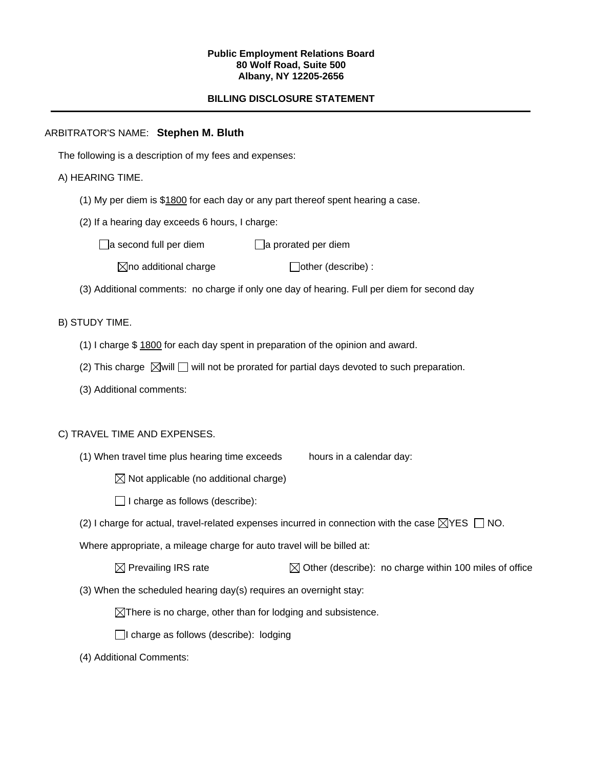#### **Public Employment Relations Board 80 Wolf Road, Suite 500 Albany, NY 12205-2656**

# **BILLING DISCLOSURE STATEMENT**

# ARBITRATOR'S NAME: **Stephen M. Bluth**

The following is a description of my fees and expenses:

# A) HEARING TIME.

- (1) My per diem is \$1800 for each day or any part thereof spent hearing a case.
- (2) If a hearing day exceeds 6 hours, I charge:

 $\Box$ a second full per diem  $\Box$ a prorated per diem

 $\boxtimes$ no additional charge  $\Box$ other (describe) :

(3) Additional comments: no charge if only one day of hearing. Full per diem for second day

# B) STUDY TIME.

- (1) I charge \$ 1800 for each day spent in preparation of the opinion and award.
- (2) This charge  $\boxtimes$  will  $\Box$  will not be prorated for partial days devoted to such preparation.
- (3) Additional comments:

### C) TRAVEL TIME AND EXPENSES.

- (1) When travel time plus hearing time exceeds hours in a calendar day:
	- $\boxtimes$  Not applicable (no additional charge)
	- $\Box$  I charge as follows (describe):
- (2) I charge for actual, travel-related expenses incurred in connection with the case  $\boxtimes$ YES  $\Box$  NO.

Where appropriate, a mileage charge for auto travel will be billed at:

(3) When the scheduled hearing day(s) requires an overnight stay:

 $\boxtimes$ There is no charge, other than for lodging and subsistence.

 $\Box$ I charge as follows (describe): lodging

(4) Additional Comments: